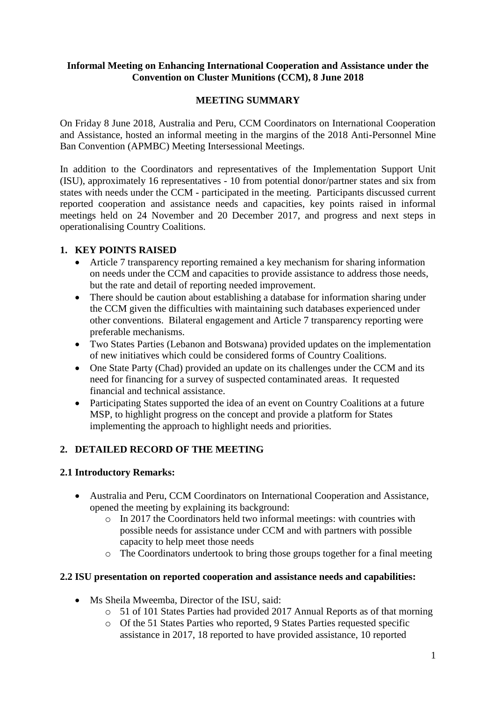#### **Informal Meeting on Enhancing International Cooperation and Assistance under the Convention on Cluster Munitions (CCM), 8 June 2018**

### **MEETING SUMMARY**

On Friday 8 June 2018, Australia and Peru, CCM Coordinators on International Cooperation and Assistance, hosted an informal meeting in the margins of the 2018 Anti-Personnel Mine Ban Convention (APMBC) Meeting Intersessional Meetings.

In addition to the Coordinators and representatives of the Implementation Support Unit (ISU), approximately 16 representatives - 10 from potential donor/partner states and six from states with needs under the CCM - participated in the meeting. Participants discussed current reported cooperation and assistance needs and capacities, key points raised in informal meetings held on 24 November and 20 December 2017, and progress and next steps in operationalising Country Coalitions.

#### **1. KEY POINTS RAISED**

- Article 7 transparency reporting remained a key mechanism for sharing information on needs under the CCM and capacities to provide assistance to address those needs, but the rate and detail of reporting needed improvement.
- There should be caution about establishing a database for information sharing under the CCM given the difficulties with maintaining such databases experienced under other conventions. Bilateral engagement and Article 7 transparency reporting were preferable mechanisms.
- Two States Parties (Lebanon and Botswana) provided updates on the implementation of new initiatives which could be considered forms of Country Coalitions.
- One State Party (Chad) provided an update on its challenges under the CCM and its need for financing for a survey of suspected contaminated areas. It requested financial and technical assistance.
- Participating States supported the idea of an event on Country Coalitions at a future MSP, to highlight progress on the concept and provide a platform for States implementing the approach to highlight needs and priorities.

## **2. DETAILED RECORD OF THE MEETING**

#### **2.1 Introductory Remarks:**

- Australia and Peru, CCM Coordinators on International Cooperation and Assistance, opened the meeting by explaining its background:
	- $\circ$  In 2017 the Coordinators held two informal meetings: with countries with possible needs for assistance under CCM and with partners with possible capacity to help meet those needs
	- o The Coordinators undertook to bring those groups together for a final meeting

#### **2.2 ISU presentation on reported cooperation and assistance needs and capabilities:**

- Ms Sheila Mweemba, Director of the ISU, said:
	- o 51 of 101 States Parties had provided 2017 Annual Reports as of that morning
	- o Of the 51 States Parties who reported, 9 States Parties requested specific assistance in 2017, 18 reported to have provided assistance, 10 reported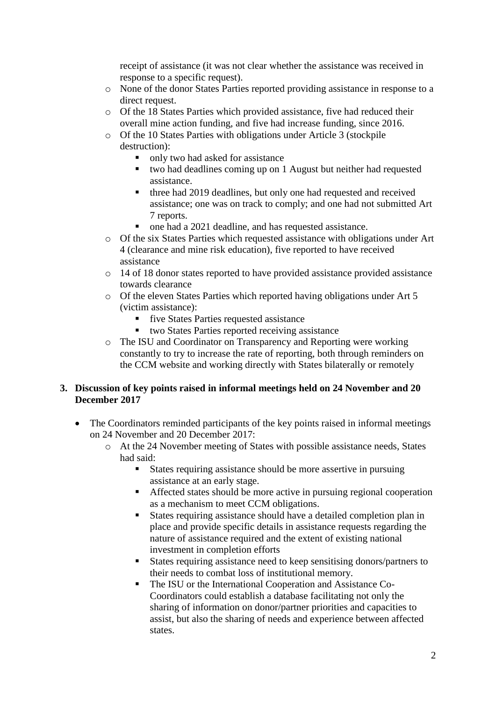receipt of assistance (it was not clear whether the assistance was received in response to a specific request).

- o None of the donor States Parties reported providing assistance in response to a direct request.
- o Of the 18 States Parties which provided assistance, five had reduced their overall mine action funding, and five had increase funding, since 2016.
- o Of the 10 States Parties with obligations under Article 3 (stockpile destruction):
	- only two had asked for assistance
	- two had deadlines coming up on 1 August but neither had requested assistance.
	- three had 2019 deadlines, but only one had requested and received assistance; one was on track to comply; and one had not submitted Art 7 reports.
	- one had a 2021 deadline, and has requested assistance.
- o Of the six States Parties which requested assistance with obligations under Art 4 (clearance and mine risk education), five reported to have received assistance
- o 14 of 18 donor states reported to have provided assistance provided assistance towards clearance
- o Of the eleven States Parties which reported having obligations under Art 5 (victim assistance):
	- five States Parties requested assistance
	- two States Parties reported receiving assistance
- o The ISU and Coordinator on Transparency and Reporting were working constantly to try to increase the rate of reporting, both through reminders on the CCM website and working directly with States bilaterally or remotely

#### **3. Discussion of key points raised in informal meetings held on 24 November and 20 December 2017**

- The Coordinators reminded participants of the key points raised in informal meetings on 24 November and 20 December 2017:
	- o At the 24 November meeting of States with possible assistance needs, States had said:
		- States requiring assistance should be more assertive in pursuing assistance at an early stage.
		- Affected states should be more active in pursuing regional cooperation as a mechanism to meet CCM obligations.
		- States requiring assistance should have a detailed completion plan in place and provide specific details in assistance requests regarding the nature of assistance required and the extent of existing national investment in completion efforts
		- States requiring assistance need to keep sensitising donors/partners to their needs to combat loss of institutional memory.
		- The ISU or the International Cooperation and Assistance Co-Coordinators could establish a database facilitating not only the sharing of information on donor/partner priorities and capacities to assist, but also the sharing of needs and experience between affected states.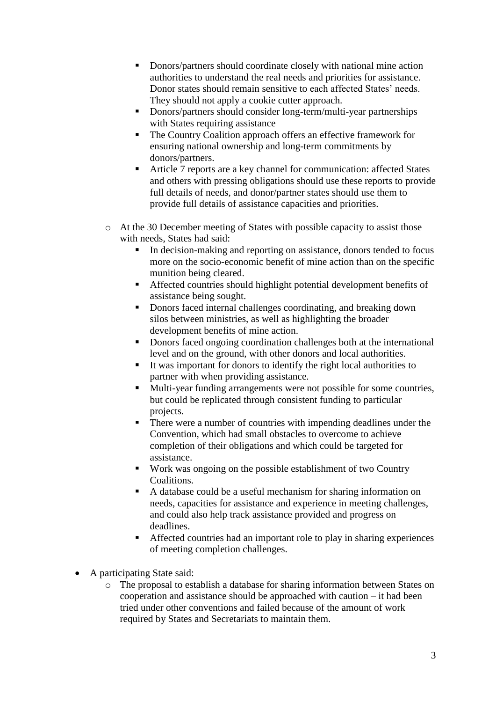- Donors/partners should coordinate closely with national mine action authorities to understand the real needs and priorities for assistance. Donor states should remain sensitive to each affected States' needs. They should not apply a cookie cutter approach.
- Donors/partners should consider long-term/multi-year partnerships with States requiring assistance
- The Country Coalition approach offers an effective framework for ensuring national ownership and long-term commitments by donors/partners.
- Article 7 reports are a key channel for communication: affected States and others with pressing obligations should use these reports to provide full details of needs, and donor/partner states should use them to provide full details of assistance capacities and priorities.
- o At the 30 December meeting of States with possible capacity to assist those with needs, States had said:
	- In decision-making and reporting on assistance, donors tended to focus more on the socio-economic benefit of mine action than on the specific munition being cleared.
	- Affected countries should highlight potential development benefits of assistance being sought.
	- Donors faced internal challenges coordinating, and breaking down silos between ministries, as well as highlighting the broader development benefits of mine action.
	- Donors faced ongoing coordination challenges both at the international level and on the ground, with other donors and local authorities.
	- It was important for donors to identify the right local authorities to partner with when providing assistance.
	- Multi-year funding arrangements were not possible for some countries, but could be replicated through consistent funding to particular projects.
	- There were a number of countries with impending deadlines under the Convention, which had small obstacles to overcome to achieve completion of their obligations and which could be targeted for assistance.
	- Work was ongoing on the possible establishment of two Country Coalitions.
	- A database could be a useful mechanism for sharing information on needs, capacities for assistance and experience in meeting challenges, and could also help track assistance provided and progress on deadlines.
	- Affected countries had an important role to play in sharing experiences of meeting completion challenges.
- A participating State said:
	- o The proposal to establish a database for sharing information between States on cooperation and assistance should be approached with caution – it had been tried under other conventions and failed because of the amount of work required by States and Secretariats to maintain them.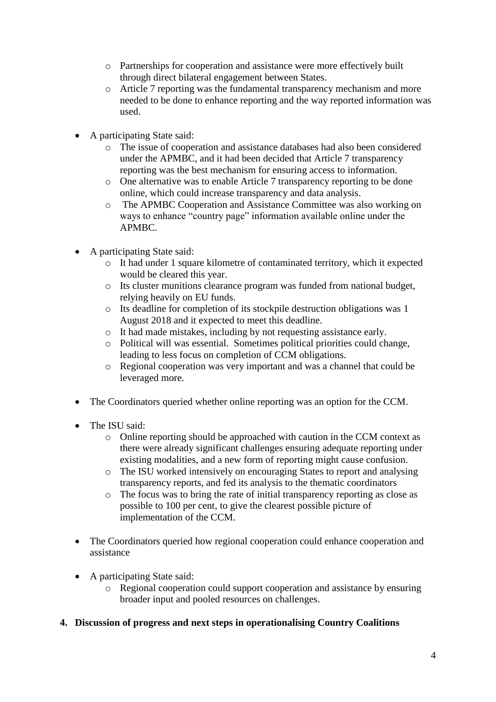- o Partnerships for cooperation and assistance were more effectively built through direct bilateral engagement between States.
- o Article 7 reporting was the fundamental transparency mechanism and more needed to be done to enhance reporting and the way reported information was used.
- A participating State said:
	- o The issue of cooperation and assistance databases had also been considered under the APMBC, and it had been decided that Article 7 transparency reporting was the best mechanism for ensuring access to information.
	- o One alternative was to enable Article 7 transparency reporting to be done online, which could increase transparency and data analysis.
	- o The APMBC Cooperation and Assistance Committee was also working on ways to enhance "country page" information available online under the APMBC.
- A participating State said:
	- o It had under 1 square kilometre of contaminated territory, which it expected would be cleared this year.
	- o Its cluster munitions clearance program was funded from national budget, relying heavily on EU funds.
	- o Its deadline for completion of its stockpile destruction obligations was 1 August 2018 and it expected to meet this deadline.
	- o It had made mistakes, including by not requesting assistance early.
	- o Political will was essential. Sometimes political priorities could change, leading to less focus on completion of CCM obligations.
	- o Regional cooperation was very important and was a channel that could be leveraged more.
- The Coordinators queried whether online reporting was an option for the CCM.
- The ISU said:
	- o Online reporting should be approached with caution in the CCM context as there were already significant challenges ensuring adequate reporting under existing modalities, and a new form of reporting might cause confusion.
	- o The ISU worked intensively on encouraging States to report and analysing transparency reports, and fed its analysis to the thematic coordinators
	- o The focus was to bring the rate of initial transparency reporting as close as possible to 100 per cent, to give the clearest possible picture of implementation of the CCM.
- The Coordinators queried how regional cooperation could enhance cooperation and assistance
- A participating State said:
	- o Regional cooperation could support cooperation and assistance by ensuring broader input and pooled resources on challenges.

## **4. Discussion of progress and next steps in operationalising Country Coalitions**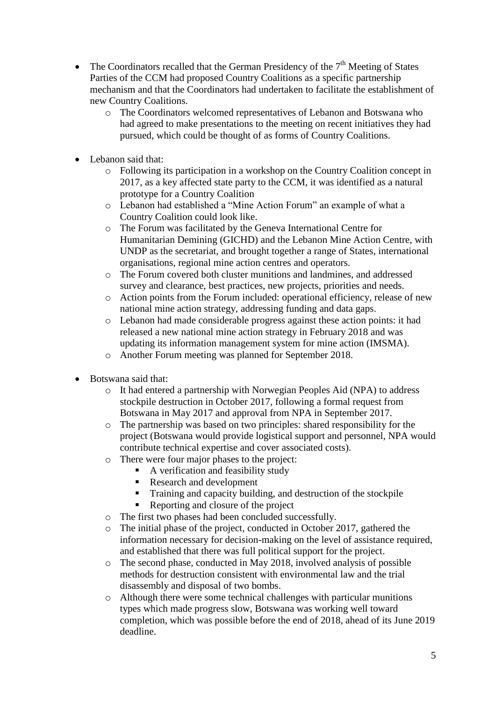- The Coordinators recalled that the German Presidency of the  $7<sup>th</sup>$  Meeting of States Parties of the CCM had proposed Country Coalitions as a specific partnership mechanism and that the Coordinators had undertaken to facilitate the establishment of new Country Coalitions.
	- o The Coordinators welcomed representatives of Lebanon and Botswana who had agreed to make presentations to the meeting on recent initiatives they had pursued, which could be thought of as forms of Country Coalitions.
- Lebanon said that:
	- $\circ$  Following its participation in a workshop on the Country Coalition concept in 2017, as a key affected state party to the CCM, it was identified as a natural prototype for a Country Coalition
	- o Lebanon had established a "Mine Action Forum" an example of what a Country Coalition could look like.
	- o The Forum was facilitated by the Geneva International Centre for Humanitarian Demining (GICHD) and the Lebanon Mine Action Centre, with UNDP as the secretariat, and brought together a range of States, international organisations, regional mine action centres and operators.
	- o The Forum covered both cluster munitions and landmines, and addressed survey and clearance, best practices, new projects, priorities and needs.
	- o Action points from the Forum included: operational efficiency, release of new national mine action strategy, addressing funding and data gaps.
	- o Lebanon had made considerable progress against these action points: it had released a new national mine action strategy in February 2018 and was updating its information management system for mine action (IMSMA).
	- o Another Forum meeting was planned for September 2018.
- Botswana said that:
	- o It had entered a partnership with Norwegian Peoples Aid (NPA) to address stockpile destruction in October 2017, following a formal request from Botswana in May 2017 and approval from NPA in September 2017.
	- o The partnership was based on two principles: shared responsibility for the project (Botswana would provide logistical support and personnel, NPA would contribute technical expertise and cover associated costs).
	- o There were four major phases to the project:
		- A verification and feasibility study
		- Research and development
		- Training and capacity building, and destruction of the stockpile
		- Reporting and closure of the project
	- o The first two phases had been concluded successfully.
	- o The initial phase of the project, conducted in October 2017, gathered the information necessary for decision-making on the level of assistance required, and established that there was full political support for the project.
	- o The second phase, conducted in May 2018, involved analysis of possible methods for destruction consistent with environmental law and the trial disassembly and disposal of two bombs.
	- o Although there were some technical challenges with particular munitions types which made progress slow, Botswana was working well toward completion, which was possible before the end of 2018, ahead of its June 2019 deadline.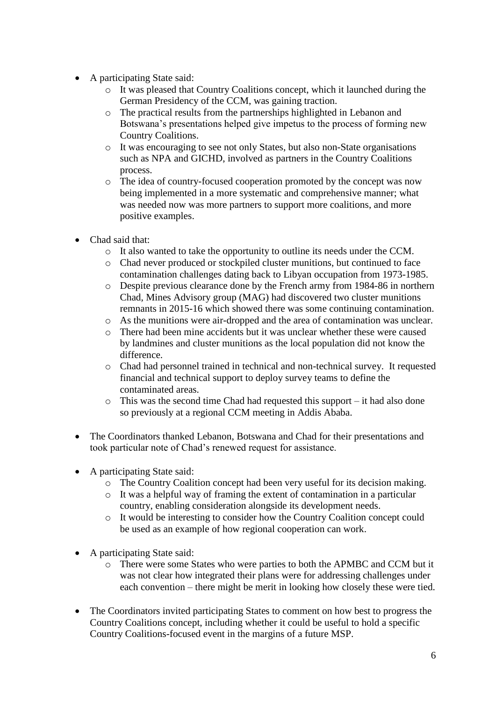- A participating State said:
	- o It was pleased that Country Coalitions concept, which it launched during the German Presidency of the CCM, was gaining traction.
	- o The practical results from the partnerships highlighted in Lebanon and Botswana's presentations helped give impetus to the process of forming new Country Coalitions.
	- o It was encouraging to see not only States, but also non-State organisations such as NPA and GICHD, involved as partners in the Country Coalitions process.
	- o The idea of country-focused cooperation promoted by the concept was now being implemented in a more systematic and comprehensive manner; what was needed now was more partners to support more coalitions, and more positive examples.
- Chad said that:
	- o It also wanted to take the opportunity to outline its needs under the CCM.
	- o Chad never produced or stockpiled cluster munitions, but continued to face contamination challenges dating back to Libyan occupation from 1973-1985.
	- o Despite previous clearance done by the French army from 1984-86 in northern Chad, Mines Advisory group (MAG) had discovered two cluster munitions remnants in 2015-16 which showed there was some continuing contamination.
	- o As the munitions were air-dropped and the area of contamination was unclear.
	- o There had been mine accidents but it was unclear whether these were caused by landmines and cluster munitions as the local population did not know the difference.
	- o Chad had personnel trained in technical and non-technical survey. It requested financial and technical support to deploy survey teams to define the contaminated areas.
	- o This was the second time Chad had requested this support it had also done so previously at a regional CCM meeting in Addis Ababa.
- The Coordinators thanked Lebanon, Botswana and Chad for their presentations and took particular note of Chad's renewed request for assistance.
- A participating State said:
	- o The Country Coalition concept had been very useful for its decision making.
	- o It was a helpful way of framing the extent of contamination in a particular country, enabling consideration alongside its development needs.
	- o It would be interesting to consider how the Country Coalition concept could be used as an example of how regional cooperation can work.
- A participating State said:
	- o There were some States who were parties to both the APMBC and CCM but it was not clear how integrated their plans were for addressing challenges under each convention – there might be merit in looking how closely these were tied.
- The Coordinators invited participating States to comment on how best to progress the Country Coalitions concept, including whether it could be useful to hold a specific Country Coalitions-focused event in the margins of a future MSP.